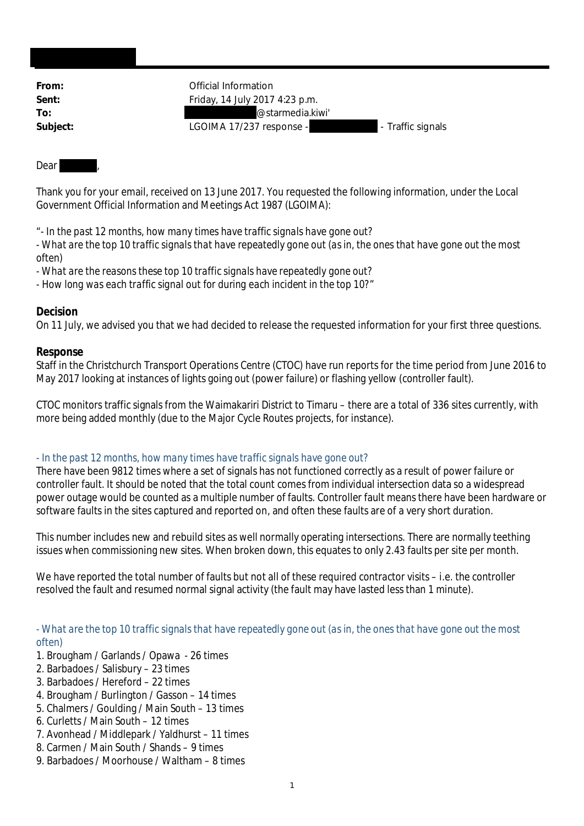| From:    | Official Information                          |
|----------|-----------------------------------------------|
| Sent:    | Friday, 14 July 2017 4:23 p.m.                |
| To:      | @starmedia.kiwi'                              |
| Subject: | LGOIMA 17/237 response -<br>- Traffic signals |
|          |                                               |

#### Dear

Thank you for your email, received on 13 June 2017. You requested the following information, under the Local Government Official Information and Meetings Act 1987 (LGOIMA):

"- *In the past 12 months, how many times have traffic signals have gone out?*

*- What are the top 10 traffic signals that have repeatedly gone out (as in, the ones that have gone out the most often)*

*- What are the reasons these top 10 traffic signals have repeatedly gone out?*

*- How long was each traffic signal out for during each incident in the top 10?*"

## **Decision**

On 11 July, we advised you that we had decided to release the requested information for your first three questions.

## **Response**

Staff in the Christchurch Transport Operations Centre (CTOC) have run reports for the time period from June 2016 to May 2017 looking at instances of lights going out (power failure) or flashing yellow (controller fault).

CTOC monitors traffic signals from the Waimakariri District to Timaru – there are a total of 336 sites currently, with more being added monthly (due to the Major Cycle Routes projects, for instance).

### - *In the past 12 months, how many times have traffic signals have gone out?*

There have been 9812 times where a set of signals has not functioned correctly as a result of power failure or controller fault. It should be noted that the total count comes from individual intersection data so a widespread power outage would be counted as a multiple number of faults. Controller fault means there have been hardware or software faults in the sites captured and reported on, and often these faults are of a very short duration.

This number includes new and rebuild sites as well normally operating intersections. There are normally teething issues when commissioning new sites. When broken down, this equates to only 2.43 faults per site per month.

We have reported the total number of faults but not all of these required contractor visits – i.e. the controller resolved the fault and resumed normal signal activity (the fault may have lasted less than 1 minute).

*- What are the top 10 traffic signals that have repeatedly gone out (as in, the ones that have gone out the most often)*

- 1. Brougham / Garlands / Opawa 26 times
- 2. Barbadoes / Salisbury 23 times
- 3. Barbadoes / Hereford 22 times
- 4. Brougham / Burlington / Gasson 14 times
- 5. Chalmers / Goulding / Main South 13 times
- 6. Curletts / Main South 12 times
- 7. Avonhead / Middlepark / Yaldhurst 11 times
- 8. Carmen / Main South / Shands 9 times
- 9. Barbadoes / Moorhouse / Waltham 8 times